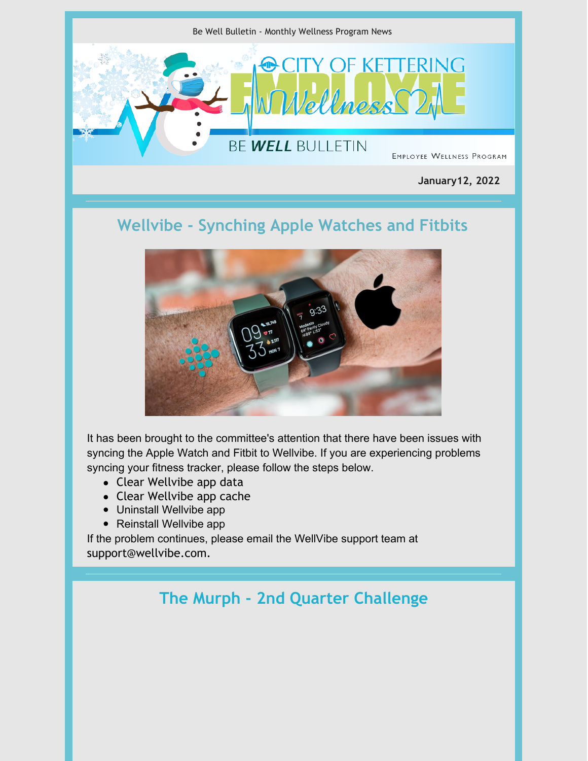

**January12, 2022**

## **Wellvibe - Synching Apple Watches and Fitbits**



It has been brought to the committee's attention that there have been issues with syncing the Apple Watch and Fitbit to Wellvibe. If you are experiencing problems syncing your fitness tracker, please follow the steps below.

- Clear Wellvibe app data
- Clear Wellvibe app cache
- Uninstall Wellvibe app
- Reinstall Wellvibe app

If the problem continues, please email the WellVibe support team at support@wellvibe.com.

#### **The Murph - 2nd Quarter Challenge**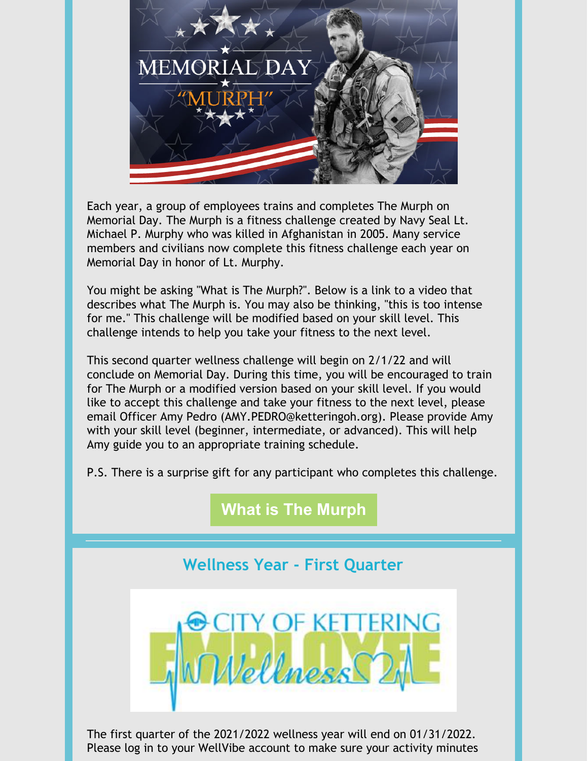

Each year, a group of employees trains and completes The Murph on Memorial Day. The Murph is a fitness challenge created by Navy Seal Lt. Michael P. Murphy who was killed in Afghanistan in 2005. Many service members and civilians now complete this fitness challenge each year on Memorial Day in honor of Lt. Murphy.

You might be asking "What is The Murph?". Below is a link to a video that describes what The Murph is. You may also be thinking, "this is too intense for me." This challenge will be modified based on your skill level. This challenge intends to help you take your fitness to the next level.

This second quarter wellness challenge will begin on 2/1/22 and will conclude on Memorial Day. During this time, you will be encouraged to train for The Murph or a modified version based on your skill level. If you would like to accept this challenge and take your fitness to the next level, please email Officer Amy Pedro (AMY.PEDRO@ketteringoh.org). Please provide Amy with your skill level (beginner, intermediate, or advanced). This will help Amy guide you to an appropriate training schedule.

P.S. There is a surprise gift for any participant who completes this challenge.

## **What is The [Murph](https://www.youtube.com/watch?v=-qx2jfjDdr0)**

## **Wellness Year - First Quarter**



The first quarter of the 2021/2022 wellness year will end on 01/31/2022. Please log in to your WellVibe account to make sure your activity minutes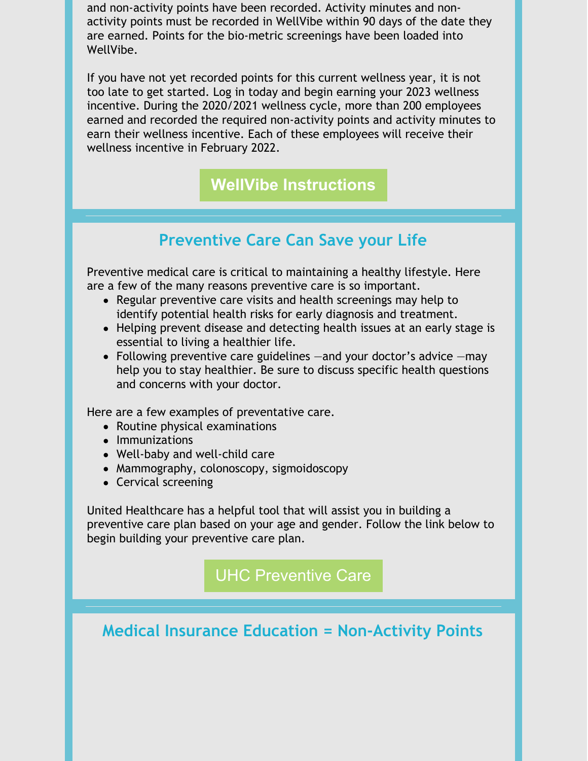and non-activity points have been recorded. Activity minutes and nonactivity points must be recorded in WellVibe within 90 days of the date they are earned. Points for the bio-metric screenings have been loaded into WellVibe.

If you have not yet recorded points for this current wellness year, it is not too late to get started. Log in today and begin earning your 2023 wellness incentive. During the 2020/2021 wellness cycle, more than 200 employees earned and recorded the required non-activity points and activity minutes to earn their wellness incentive. Each of these employees will receive their wellness incentive in February 2022.

**WellVibe [Instructions](https://files.constantcontact.com/75941bbb401/44e2188e-6a45-4747-b673-a7b48074e3a3.pdf)**

#### **Preventive Care Can Save your Life**

Preventive medical care is critical to maintaining a healthy lifestyle. Here are a few of the many reasons preventive care is so important.

- Regular preventive care visits and health screenings may help to identify potential health risks for early diagnosis and treatment.
- Helping prevent disease and detecting health issues at an early stage is essential to living a healthier life.
- Following preventive care guidelines —and your doctor's advice —may help you to stay healthier. Be sure to discuss specific health questions and concerns with your doctor.

Here are a few examples of preventative care.

- Routine physical examinations
- Immunizations
- Well-baby and well-child care
- Mammography, colonoscopy, sigmoidoscopy
- Cervical screening

United Healthcare has a helpful tool that will assist you in building a preventive care plan based on your age and gender. Follow the link below to begin building your preventive care plan.

UHC [Preventive](https://www.uhc.com/health-and-wellness/preventive-care#create-list) Care

**Medical Insurance Education = Non-Activity Points**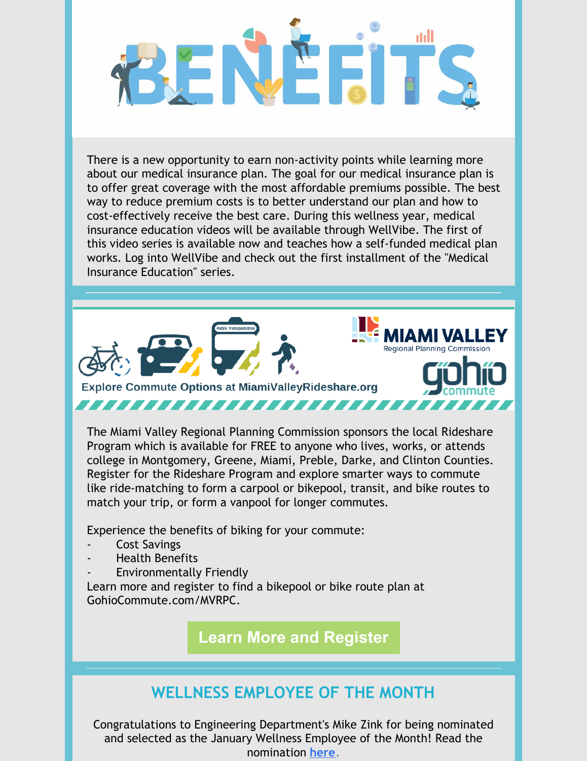There is a new opportunity to earn non-activity points while learning more about our medical insurance plan. The goal for our medical insurance plan is to offer great coverage with the most affordable premiums possible. The best way to reduce premium costs is to better understand our plan and how to cost-effectively receive the best care. During this wellness year, medical insurance education videos will be available through WellVibe. The first of this video series is available now and teaches how a self-funded medical plan works. Log into WellVibe and check out the first installment of the "Medical Insurance Education" series.



The Miami Valley Regional Planning Commission sponsors the local Rideshare Program which is available for FREE to anyone who lives, works, or attends college in Montgomery, Greene, Miami, Preble, Darke, and Clinton Counties. Register for the Rideshare Program and explore smarter ways to commute like ride-matching to form a carpool or bikepool, transit, and bike routes to match your trip, or form a vanpool for longer commutes.

Experience the benefits of biking for your commute:

- Cost Savings
- Health Benefits
- Environmentally Friendly

Learn more and register to find a bikepool or bike route plan at GohioCommute.com/MVRPC.

**Learn More and [Register](https://files.constantcontact.com/75941bbb401/8271105b-1faa-4931-a379-3b4b53b509bd.pdf)**

# **WELLNESS EMPLOYEE OF THE MONTH**

Congratulations to Engineering Department's Mike Zink for being nominated and selected as the January Wellness Employee of the Month! Read the nomination **[here](https://files.constantcontact.com/75941bbb401/a2194f7a-9efc-4db5-908a-8f1ff8bfee38.pdf)**.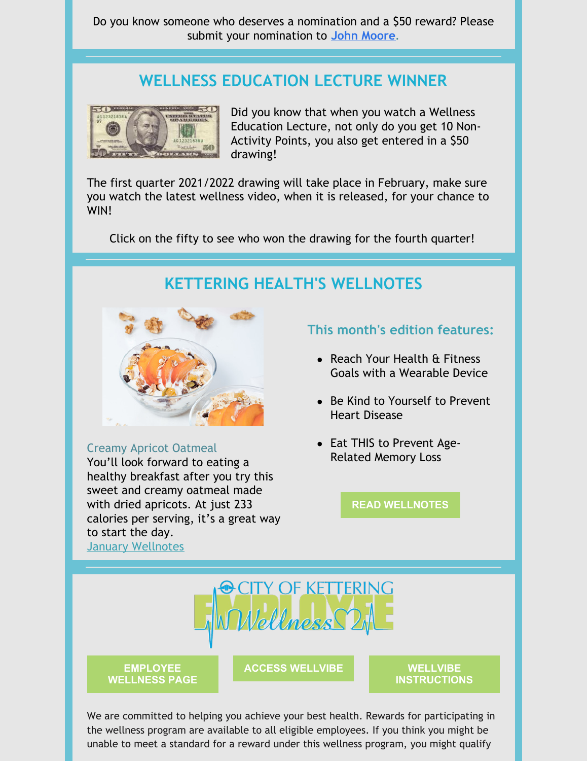Do you know someone who deserves a nomination and a \$50 reward? Please submit your nomination to **John [Moore](mailto:john.moore@ketteringoh.org)**.

#### **WELLNESS EDUCATION LECTURE WINNER**



Did you know that when you watch a Wellness Education Lecture, not only do you get 10 Non-Activity Points, you also get entered in a \$50 drawing!

The first quarter 2021/2022 drawing will take place in February, make sure you watch the latest wellness video, when it is released, for your chance to WIN!

Click on the fifty to see who won the drawing for the fourth quarter!

#### **KETTERING HEALTH'S WELLNOTES**



Creamy Apricot Oatmeal You'll look forward to eating a healthy breakfast after you try this sweet and creamy oatmeal made with dried apricots. At just 233 calories per serving, it's a great way to start the day. January [Wellnotes](https://files.constantcontact.com/75941bbb401/07ad6942-f172-4811-9370-44cabc85e607.pdf)

#### **This month's edition features:**

- Reach Your Health & Fitness Goals with a Wearable Device
- Be Kind to Yourself to Prevent Heart Disease
- Eat THIS to Prevent Age-Related Memory Loss

**READ [WELLNOTES](https://files.constantcontact.com/75941bbb401/07ad6942-f172-4811-9370-44cabc85e607.pdf)**



**[EMPLOYEE](https://www.ketteringoh.org/wellness-program/) WELLNESS PAGE** **ACCESS [WELLVIBE](https://www.wellvibe2.com/login.php) WELLVIBE**

**[INSTRUCTIONS](https://files.constantcontact.com/75941bbb401/95421450-00d9-4704-8d62-e5ac028204e8.pdf)**

We are committed to helping you achieve your best health. Rewards for participating in the wellness program are available to all eligible employees. If you think you might be unable to meet a standard for a reward under this wellness program, you might qualify